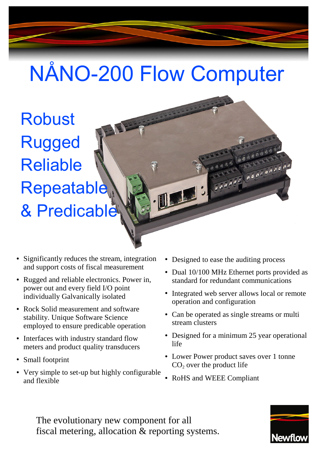# NÅNO-200 Flow Computer

Robust Rugged Reliable Repeatable & Predicable

Features

- Significantly reduces the stream, integration and support costs of fiscal measurement
- Rugged and reliable electronics. Power in, power out and every field I/O point individually Galvanically isolated
- Rock Solid measurement and software stability. Unique Software Science employed to ensure predicable operation
- Interfaces with industry standard flow meters and product quality transducers
- Small footprint
- Very simple to set-up but highly configurable and flexible
- Designed to ease the auditing process
- Dual 10/100 MHz Ethernet ports provided as standard for redundant communications

 $\frac{1}{\sigma^{\frac{1}{\sigma^{\frac{1}{\sigma^{\frac{1}{\sigma^{\frac{1}{\sigma^{\frac{1}{\sigma^{\frac{1}{\sigma^{\frac{1}{\sigma^{\frac{1}{\sigma^{\frac{1}{\sigma^{\frac{1}{\sigma^{\frac{1}{\sigma^{\frac{1}{\sigma^{\frac{1}{\sigma^{\frac{1}{\sigma^{\frac{1}{\sigma^{\frac{1}{\sigma^{\frac{1}{\sigma^{\frac{1}{\sigma^{\frac{1}{\sigma^{\frac{1}{\sigma^{\frac{1}{\sigma^{\frac{1}{\sigma^{\frac{1}{\sigma^{\frac{1}{\sigma^{\frac{1}{\sigma^{\frac{1}{\sigma^{\frac{1$ 

- Integrated web server allows local or remote operation and configuration
- Can be operated as single streams or multi stream clusters
- Designed for a minimum 25 year operational life
- Lower Power product saves over 1 tonne  $CO<sub>2</sub>$  over the product life
- RoHS and WEEE Compliant

The evolutionary new component for all fiscal metering, allocation & reporting systems.

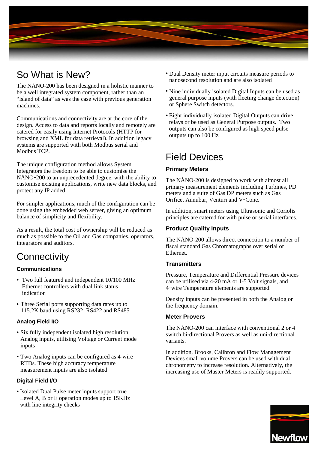

The NÅNO-200 has been designed in a holistic manner to be a well integrated system component, rather than an "island of data" as was the case with previous generation machines.

Communications and connectivity are at the core of the design. Access to data and reports locally and remotely are catered for easily using Internet Protocols (HTTP for browsing and XML for data retrieval). In addition legacy systems are supported with both Modbus serial and Modbus TCP.

The unique configuration method allows System Integrators the freedom to be able to customise the NÅNO-200 to an unprecedented degree, with the ability to customise existing applications, write new data blocks, and protect any IP added.

For simpler applications, much of the configuration can be done using the embedded web server, giving an optimum balance of simplicity and flexibility.

As a result, the total cost of ownership will be reduced as much as possible to the Oil and Gas companies, operators, integrators and auditors.

# **Connectivity**

#### **Communications**

- Two full featured and independent 10/100 MHz Ethernet controllers with dual link status indication
- Three Serial ports supporting data rates up to 115.2K baud using RS232, RS422 and RS485

#### **Analog Field I/O**

- Six fully independent isolated high resolution Analog inputs, utilising Voltage or Current mode inputs
- Two Analog inputs can be configured as 4-wire RTDs. These high accuracy temperature measurement inputs are also isolated

#### **Digital Field I/O**

● Isolated Dual Pulse meter inputs support true Level A, B or E operation modes up to 15KHz with line integrity checks

- So What is New? Dual Density meter input circuits measure periods to nanosecond resolution and are also isolated
	- Nine individually isolated Digital Inputs can be used as general purpose inputs (with fleeting change detection) or Sphere Switch detectors.
	- Eight individually isolated Digital Outputs can drive relays or be used as General Purpose outputs. Two outputs can also be configured as high speed pulse outputs up to 100 Hz

# Field Devices

#### **Primary Meters**

The NÅNO-200 is designed to work with almost all primary measurement elements including Turbines, PD meters and a suite of Gas DP meters such as Gas Orifice, Annubar, Venturi and V-Cone.

In addition, smart meters using Ultrasonic and Coriolis principles are catered for with pulse or serial interfaces.

#### **Product Quality Inputs**

The NÅNO-200 allows direct connection to a number of fiscal standard Gas Chromatographs over serial or Ethernet.

#### **Transmitters**

Pressure, Temperature and Differential Pressure devices can be utilised via 4-20 mA or 1-5 Volt signals, and 4-wire Temperature elements are supported.

Density inputs can be presented in both the Analog or the frequency domain.

#### **Meter Provers**

The NÅNO-200 can interface with conventional 2 or 4 switch bi-directional Provers as well as uni-directional variants.

In addition, Brooks, Calibron and Flow Management Devices small volume Provers can be used with dual chronometry to increase resolution. Alternatively, the increasing use of Master Meters is readily supported.

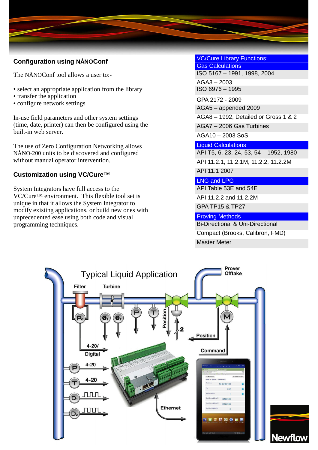#### **Configuration using NÅNOConf**

The NÅNOConf tool allows a user to:-

- select an appropriate application from the library
- transfer the application
- configure network settings

In-use field parameters and other system settings (time, date, printer) can then be configured using the built-in web server.

The use of Zero Configuration Networking allows NÅNO-200 units to be discovered and configured without manual operator intervention.

### **Customization using VC/Cure™**

System Integrators have full access to the VC/Cure™ environment. This flexible tool set is unique in that it allows the System Integrator to modify existing applications, or build new ones with unprecedented ease using both code and visual programming techniques.

VC/Cure Library Functions: Gas Calculations ISO 5167 – 1991, 1998, 2004 AGA3 – 2003

ISO 6976 – 1995

GPA 2172 - 2009 AGA5 – appended 2009 AGA8 – 1992, Detailed or Gross 1 & 2 AGA7 – 2006 Gas Turbines AGA10 – 2003 SoS

#### Liquid Calculations

API T5, 6, 23, 24, 53, 54 – 1952, 1980 API 11.2.1, 11.2.1M, 11.2.2, 11.2.2M API 11.1 2007

#### LNG and LPG

API Table 53E and 54E API 11.2.2 and 11.2.2M GPA TP15 & TP27

Proving Methods

Bi-Directional & Uni-Directional Compact (Brooks, Calibron, FMD) Master Meter